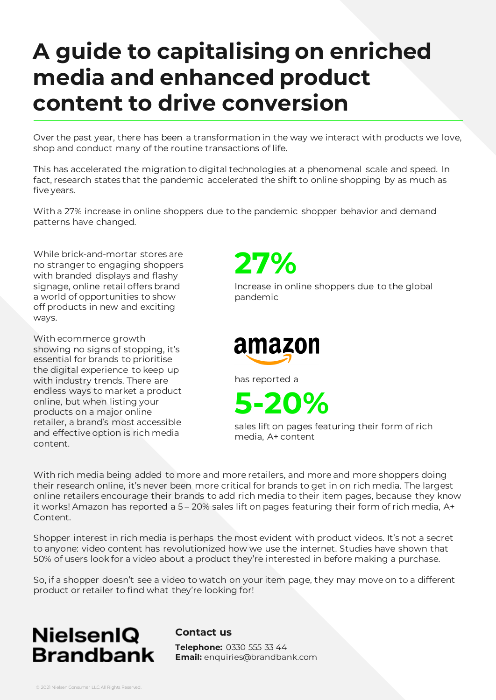Over the past year, there has been a transformation in the way we interact with products we love, shop and conduct many of the routine transactions of life.

This has accelerated the migration to digital technologies at a phenomenal scale and speed. In fact, research states that the pandemic accelerated the shift to online shopping by as much as five years.

With a 27% increase in online shoppers due to the pandemic shopper behavior and demand patterns have changed.

While brick-and-mortar stores are no stranger to engaging shoppers with branded displays and flashy signage, online retail offers brand a world of opportunities to show off products in new and exciting ways.

With ecommerce growth showing no signs of stopping, it's essential for brands to prioritise the digital experience to keep up with industry trends. There are endless ways to market a product online, but when listing your products on a major online retailer, a brand's most accessible and effective option is rich media content.

**27%**

Increase in online shoppers due to the global pandemic



has reported a

**5-20%**

sales lift on pages featuring their form of rich media, A+ content

With rich media being added to more and more retailers, and more and more shoppers doing their research online, it's never been more critical for brands to get in on rich media. The largest online retailers encourage their brands to add rich media to their item pages, because they know it works! Amazon has reported a 5 – 20% sales lift on pages featuring their form of rich media, A+ Content.

Shopper interest in rich media is perhaps the most evident with product videos. It's not a secret to anyone: video content has revolutionized how we use the internet. Studies have shown that 50% of users look for a video about a product they're interested in before making a purchase.

So, if a shopper doesn't see a video to watch on your item page, they may move on to a different product or retailer to find what they're looking for!



**Contact us**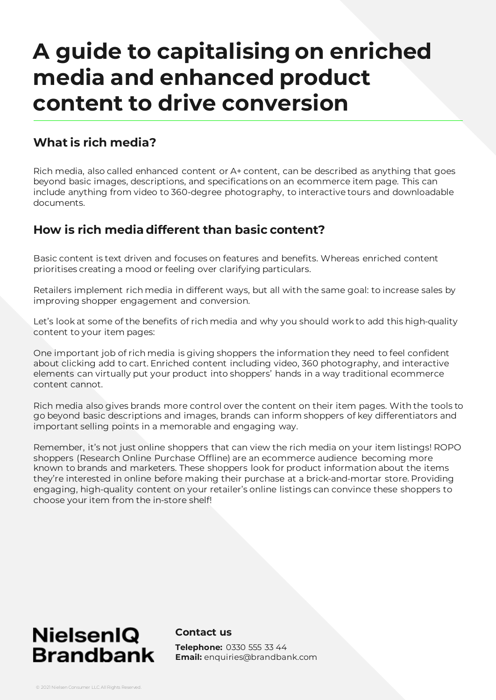## **What is rich media?**

Rich media, also called enhanced content or A+ content, can be described as anything that goes beyond basic images, descriptions, and specifications on an ecommerce item page. This can include anything from video to 360-degree photography, to interactive tours and downloadable documents.

## **How is rich media different than basic content?**

Basic content is text driven and focuses on features and benefits. Whereas enriched content prioritises creating a mood or feeling over clarifying particulars.

Retailers implement rich media in different ways, but all with the same goal: to increase sales by improving shopper engagement and conversion.

Let's look at some of the benefits of rich media and why you should work to add this high-quality content to your item pages:

One important job of rich media is giving shoppers the information they need to feel confident about clicking add to cart. Enriched content including video, 360 photography, and interactive elements can virtually put your product into shoppers' hands in a way traditional ecommerce content cannot.

Rich media also gives brands more control over the content on their item pages. With the tools to go beyond basic descriptions and images, brands can inform shoppers of key differentiators and important selling points in a memorable and engaging way.

Remember, it's not just online shoppers that can view the rich media on your item listings! ROPO shoppers (Research Online Purchase Offline) are an ecommerce audience becoming more known to brands and marketers. These shoppers look for product information about the items they're interested in online before making their purchase at a brick-and-mortar store. Providing engaging, high-quality content on your retailer's online listings can convince these shoppers to choose your item from the in-store shelf!

## **NielsenIQ Brandbank**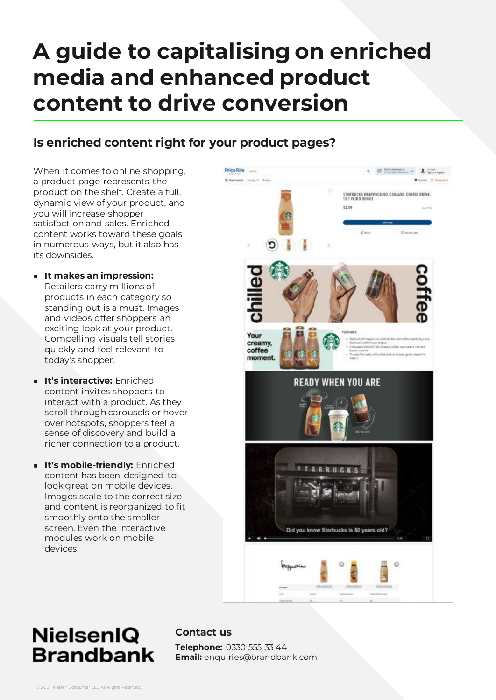## **Is enriched content right for your product pages?**

When it comes to online shopping, a product page represents the product on the shelf. Create a full, dynamic view of your product, and you will increase shopper satisfaction and sales. Enriched content works toward these goals in numerous ways, but it also has its downsides.

- **It makes an impression:**  Retailers carry millions of products in each category so standing out is a must. Images and videos offer shoppers an exciting look at your product. Compelling visuals tell stories quickly and feel relevant to today's shopper.
- **It's interactive:** Enriched content invites shoppers to interact with a product. As they scroll through carousels or hover over hotspots, shoppers feel a sense of discovery and build a richer connection to a product.
- **It's mobile-friendly:** Enriched content has been designed to look great on mobile devices. Images scale to the correct size and content is reorganized to fit smoothly onto the smaller screen. Even the interactive modules work on mobile devices.



## **NielsenIQ Brandbank**

#### **Contact us**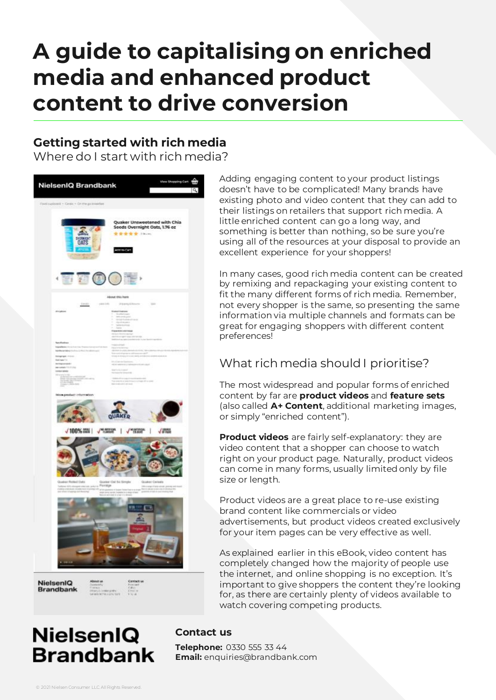## **Getting started with rich media**

Where do I start with rich media?



**NielsenIQ Brandbank**  Adding engaging content to your product listings doesn't have to be complicated! Many brands have existing photo and video content that they can add to their listings on retailers that support rich media. A little enriched content can go a long way, and something is better than nothing, so be sure you're using all of the resources at your disposal to provide an excellent experience for your shoppers!

In many cases, good rich media content can be created by remixing and repackaging your existing content to fit the many different forms of rich media. Remember, not every shopper is the same, so presenting the same information via multiple channels and formats can be great for engaging shoppers with different content preferences!

## What rich media should I prioritise?

The most widespread and popular forms of enriched content by far are **product videos** and **feature sets** (also called **A+ Content**, additional marketing images, or simply "enriched content").

**Product videos** are fairly self-explanatory: they are video content that a shopper can choose to watch right on your product page. Naturally, product videos can come in many forms, usually limited only by file size or length.

Product videos are a great place to re-use existing brand content like commercials or video advertisements, but product videos created exclusively for your item pages can be very effective as well.

As explained earlier in this eBook, video content has completely changed how the majority of people use the internet, and online shopping is no exception. It's important to give shoppers the content they're looking for, as there are certainly plenty of videos available to watch covering competing products.

## **NielsenIQ Brandbank**

#### **Contact us**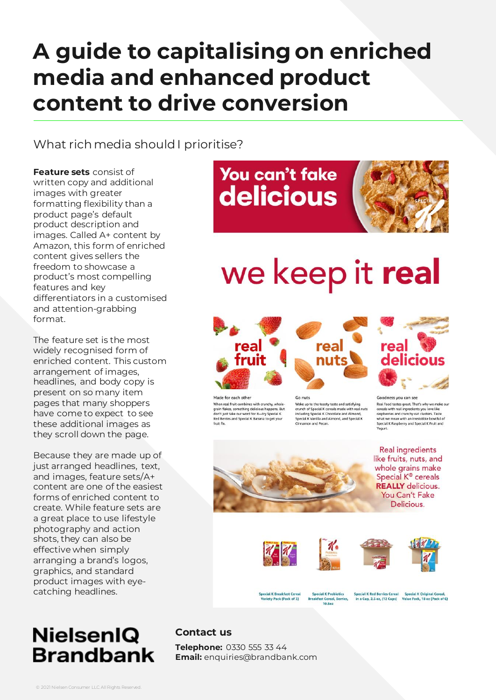What rich media should I prioritise?

**Feature sets** consist of written copy and additional images with greater formatting flexibility than a product page's default product description and images. Called A+ content by Amazon, this form of enriched content gives sellers the freedom to showcase a product's most compelling features and key differentiators in a customised and attention-grabbing format.

The feature set is the most widely recognised form of enriched content. This custom arrangement of images, headlines, and body copy is present on so many item pages that many shoppers have come to expect to see these additional images as they scroll down the page.

Because they are made up of just arranged headlines, text, and images, feature sets/A+ content are one of the easiest forms of enriched content to create. While feature sets are a great place to use lifestyle photography and action shots, they can also be effective when simply arranging a brand's logos, graphics, and standard product images with eyecatching headlines.

## **NielsenIQ Brandbank**

## You can't fake delicious



# we keep it real







real nuts



Goodness you can see Real food tastes great. That's why we make ou<br>cereals with real ingredients you love like<br>raspberries and crunchy oat clusters. Taste what we mean with an irresistible bowlful of Special K Raspberry and Special K Fruit and Yogurt.

**Real ingredients** 

You Can't Fake Delicious.

アナ





**Special K Breakfast Cereal Special K Probiotics** Variety Pack (Pack of 3) **Breakfast Cereal, Berries,<br>10.5oz**  Special K Red Berries Cereal Special K Original Cereal,<br>in a Cup, 2.5 oz, (12 Cups) Value Pack, 18 oz (Pack of 6)

## **Contact us**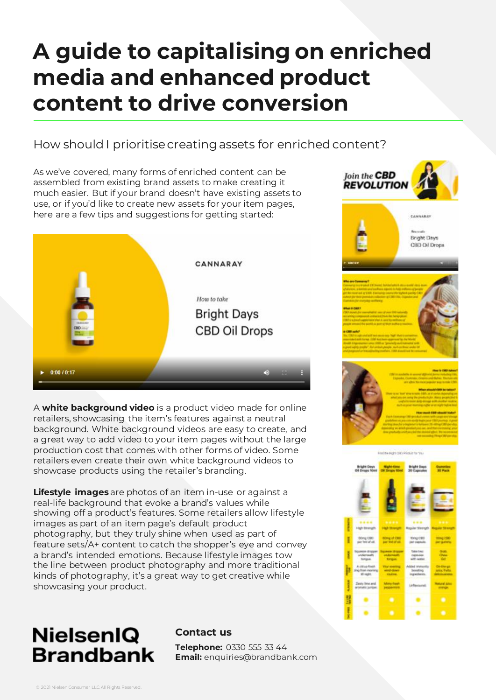## How should I prioritisecreating assets for enriched content?

As we've covered, many forms of enriched content can be assembled from existing brand assets to make creating it much easier. But if your brand doesn't have existing assets to use, or if you'd like to create new assets for your item pages, here are a few tips and suggestions for getting started:



A **white background video** is a product video made for online retailers, showcasing the item's features against a neutral background. White background videos are easy to create, and a great way to add video to your item pages without the large production cost that comes with other forms of video. Some retailers even create their own white background videos to showcase products using the retailer's branding.

**Lifestyle images** are photos of an item in-use or against a real-life background that evoke a brand's values while showing off a product's features. Some retailers allow lifestyle images as part of an item page's default product photography, but they truly shine when used as part of feature sets/A+ content to catch the shopper's eye and convey a brand's intended emotions. Because lifestyle images tow the line between product photography and more traditional kinds of photography, it's a great way to get creative while showcasing your product.

## **NielsenIQ Brandbank**

#### **Contact us**

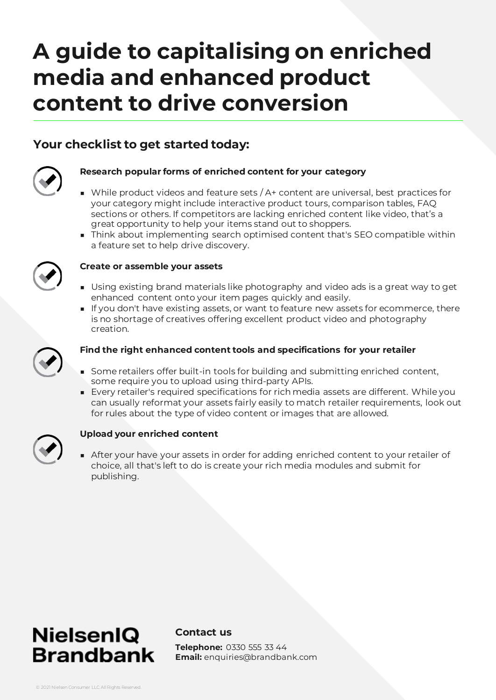## **Your checklist to get started today:**



#### **Research popular forms of enriched content for your category**

- While product videos and feature sets / A+ content are universal, best practices for your category might include interactive product tours, comparison tables, FAQ sections or others. If competitors are lacking enriched content like video, that's a great opportunity to help your items stand out to shoppers.
- Think about implementing search optimised content that's SEO compatible within a feature set to help drive discovery.



#### **Create or assemble your assets**

- Using existing brand materials like photography and video ads is a great way to get enhanced content onto your item pages quickly and easily.
- If you don't have existing assets, or want to feature new assets for ecommerce, there is no shortage of creatives offering excellent product video and photography creation.



#### **Find the right enhanced content tools and specifications for your retailer**

- Some retailers offer built-in tools for building and submitting enriched content, some require you to upload using third-party APIs.
- Every retailer's required specifications for rich media assets are different. While you can usually reformat your assets fairly easily to match retailer requirements, look out for rules about the type of video content or images that are allowed.



#### **Upload your enriched content**

■ After your have your assets in order for adding enriched content to your retailer of choice, all that's left to do is create your rich media modules and submit for publishing.



#### **Contact us**